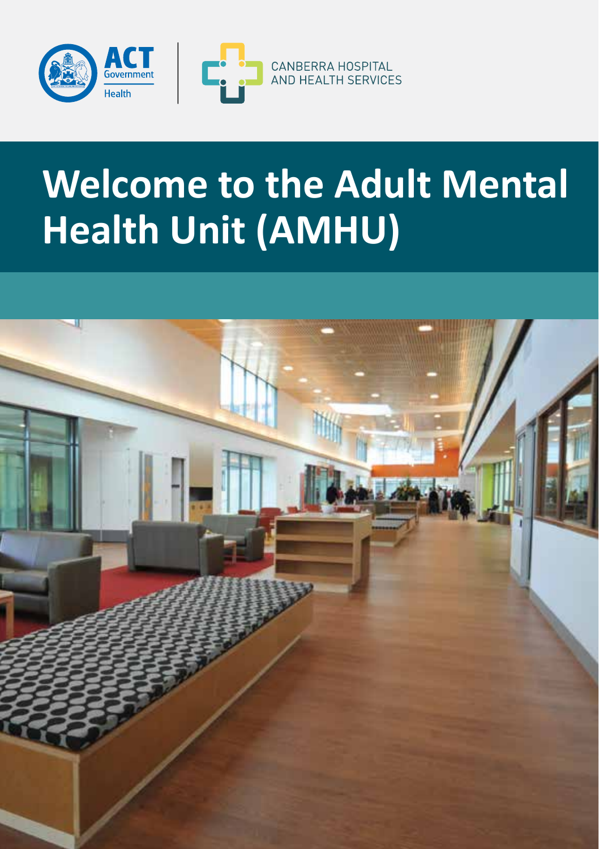



# **Welcome to the Adult Mental Health Unit (AMHU)**

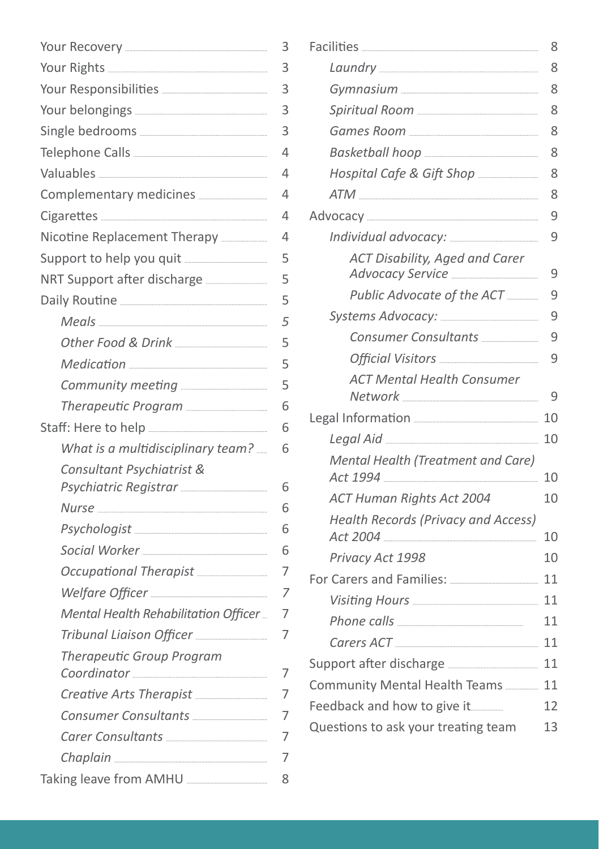|                                                                                                                                             | 3                        |
|---------------------------------------------------------------------------------------------------------------------------------------------|--------------------------|
|                                                                                                                                             | 3                        |
|                                                                                                                                             | 3                        |
|                                                                                                                                             | 3                        |
|                                                                                                                                             | 3                        |
|                                                                                                                                             | $\overline{\mathcal{L}}$ |
|                                                                                                                                             | 4                        |
|                                                                                                                                             | 4                        |
|                                                                                                                                             | 4                        |
|                                                                                                                                             | $\overline{4}$           |
|                                                                                                                                             | 5                        |
|                                                                                                                                             | 5                        |
|                                                                                                                                             | 5                        |
|                                                                                                                                             | 5                        |
|                                                                                                                                             | 5                        |
|                                                                                                                                             | 5                        |
|                                                                                                                                             | 5                        |
|                                                                                                                                             | 6                        |
|                                                                                                                                             | 6                        |
| What is a multidisciplinary team?                                                                                                           | 6                        |
| Consultant Psychiatrist &                                                                                                                   |                          |
| Psychiatric Registrar [1982] Psychiatric Registrar                                                                                          | 6                        |
|                                                                                                                                             | 6                        |
|                                                                                                                                             | 6                        |
| Social Worker [1999] Social Worker [1999] Social Worker [1999] [1999] Social Worker [1999] [1999] Social Work                               | 6                        |
| Occupational Therapist                                                                                                                      | 7                        |
|                                                                                                                                             | 7                        |
| Mental Health Rehabilitation Officer                                                                                                        | 7                        |
|                                                                                                                                             | 7                        |
| Therapeutic Group Program<br>Coordinator [1994] Coordinator [1994] [1995] [1995] [1996] [1996] [1996] [1996] [1996] [1996] [1996] [1996] [1 | 7                        |
| Creative Arts Therapist                                                                                                                     | 7                        |
|                                                                                                                                             | 7                        |
|                                                                                                                                             | 7                        |
|                                                                                                                                             | 7                        |
| Taking leave from AMHU                                                                                                                      | 8                        |

|                                            | 8  |
|--------------------------------------------|----|
|                                            | 8  |
|                                            | 8  |
|                                            | 8  |
|                                            | 8  |
|                                            | 8  |
|                                            | 8  |
|                                            | 8  |
|                                            | 9  |
|                                            | 9  |
| <b>ACT Disability, Aged and Carer</b>      | 9  |
| Public Advocate of the ACT                 | 9  |
|                                            | 9  |
|                                            | 9  |
|                                            | 9  |
| <b>ACT Mental Health Consumer</b>          | 9  |
|                                            | 10 |
|                                            | 10 |
| Mental Health (Treatment and Care)         | 10 |
| ACT Human Rights Act 2004                  | 10 |
| <b>Health Records (Privacy and Access)</b> | 10 |
| Privacy Act 1998                           | 10 |
|                                            | 11 |
|                                            | 11 |
|                                            | 11 |
|                                            | 11 |
|                                            | 11 |
| Community Mental Health Teams              | 11 |
| Feedback and how to give it                | 12 |
| Questions to ask your treating team        | 13 |
|                                            |    |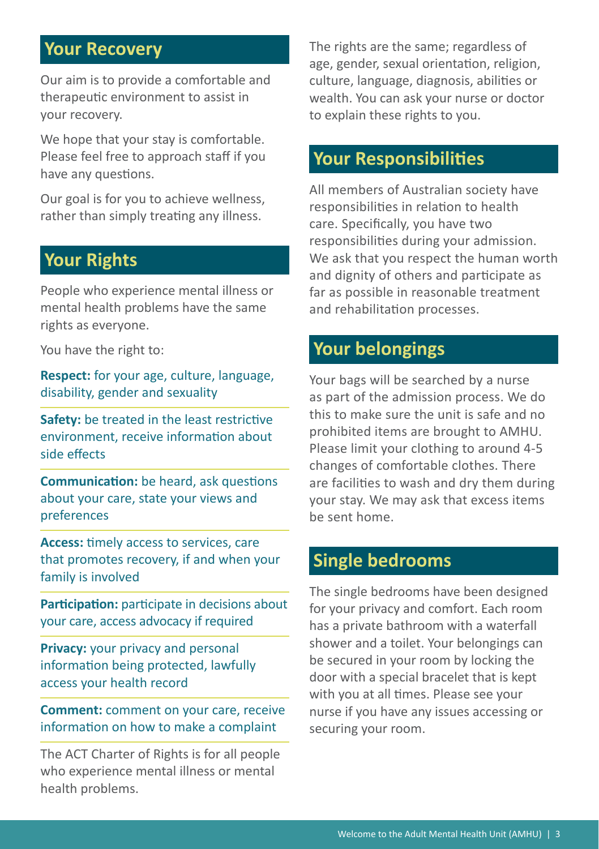## **Your Recovery**

Our aim is to provide a comfortable and therapeutic environment to assist in your recovery.

We hope that your stay is comfortable. Please feel free to approach staff if you have any questions.

Our goal is for you to achieve wellness, rather than simply treating any illness.

## **Your Rights**

People who experience mental illness or mental health problems have the same rights as everyone.

You have the right to:

**Respect:** for your age, culture, language, disability, gender and sexuality

**Safety:** be treated in the least restrictive environment, receive information about side effects

**Communication:** be heard, ask questions about your care, state your views and preferences

**Access:** timely access to services, care that promotes recovery, if and when your family is involved

Participation: participate in decisions about your care, access advocacy if required

**Privacy:** your privacy and personal information being protected, lawfully access your health record

**Comment:** comment on your care, receive information on how to make a complaint

The ACT Charter of Rights is for all people who experience mental illness or mental health problems.

The rights are the same; regardless of age, gender, sexual orientation, religion, culture, language, diagnosis, abilities or wealth. You can ask your nurse or doctor to explain these rights to you.

## **Your Responsibilities**

All members of Australian society have responsibilities in relation to health care. Specifically, you have two responsibilities during your admission. We ask that you respect the human worth and dignity of others and participate as far as possible in reasonable treatment and rehabilitation processes.

## **Your belongings**

Your bags will be searched by a nurse as part of the admission process. We do this to make sure the unit is safe and no prohibited items are brought to AMHU. Please limit your clothing to around 4-5 changes of comfortable clothes. There are facilities to wash and dry them during your stay. We may ask that excess items be sent home.

## **Single bedrooms**

The single bedrooms have been designed for your privacy and comfort. Each room has a private bathroom with a waterfall shower and a toilet. Your belongings can be secured in your room by locking the door with a special bracelet that is kept with you at all times. Please see your nurse if you have any issues accessing or securing your room.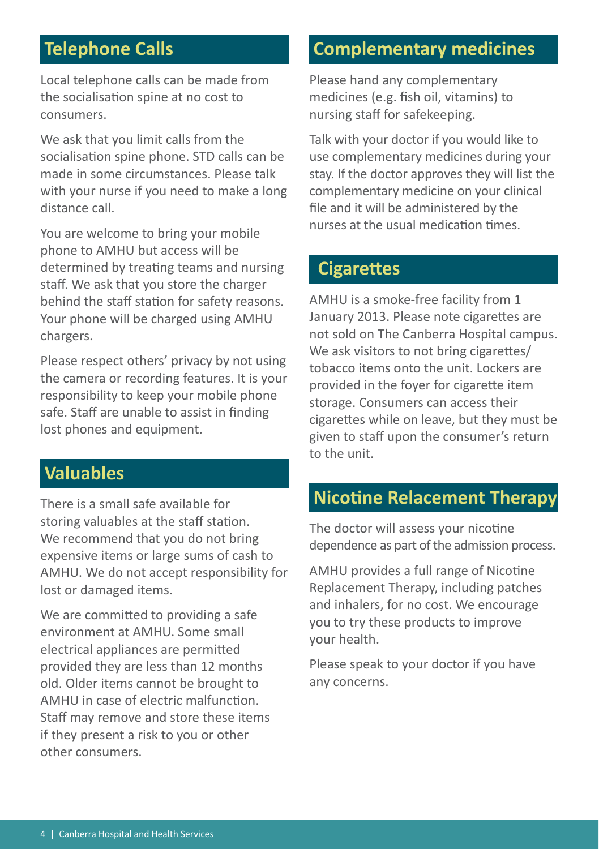## **Telephone Calls**

Local telephone calls can be made from the socialisation spine at no cost to consumers.

We ask that you limit calls from the socialisation spine phone. STD calls can be made in some circumstances. Please talk with your nurse if you need to make a long distance call.

You are welcome to bring your mobile phone to AMHU but access will be determined by treating teams and nursing staff. We ask that you store the charger behind the staff station for safety reasons. Your phone will be charged using AMHU chargers.

Please respect others' privacy by not using the camera or recording features. It is your responsibility to keep your mobile phone safe. Staff are unable to assist in finding lost phones and equipment.

## **Valuables**

There is a small safe available for storing valuables at the staff station. We recommend that you do not bring expensive items or large sums of cash to AMHU. We do not accept responsibility for lost or damaged items.

We are committed to providing a safe environment at AMHU. Some small electrical appliances are permitted provided they are less than 12 months old. Older items cannot be brought to AMHU in case of electric malfunction. Staff may remove and store these items if they present a risk to you or other other consumers.

## **Complementary medicines**

Please hand any complementary medicines (e.g. fish oil, vitamins) to nursing staff for safekeeping.

Talk with your doctor if you would like to use complementary medicines during your stay. If the doctor approves they will list the complementary medicine on your clinical file and it will be administered by the nurses at the usual medication times.

## **Cigarettes**

AMHU is a smoke-free facility from 1 January 2013. Please note cigarettes are not sold on The Canberra Hospital campus. We ask visitors to not bring cigarettes/ tobacco items onto the unit. Lockers are provided in the foyer for cigarette item storage. Consumers can access their cigarettes while on leave, but they must be given to staff upon the consumer's return to the unit.

## **Nicotine Relacement Therapy**

The doctor will assess your nicotine dependence as part of the admission process.

AMHU provides a full range of Nicotine Replacement Therapy, including patches and inhalers, for no cost. We encourage you to try these products to improve your health.

Please speak to your doctor if you have any concerns.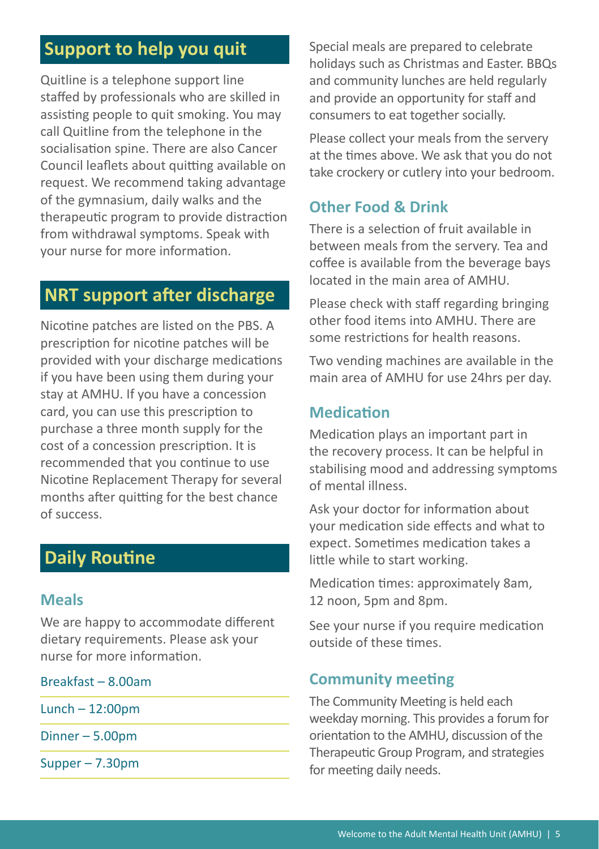## **Support to help you quit**

Quitline is a telephone support line staffed by professionals who are skilled in assisting people to quit smoking. You may call Quitline from the telephone in the socialisation spine. There are also Cancer Council leaflets about quitting available on request. We recommend taking advantage of the gymnasium, daily walks and the therapeutic program to provide distraction from withdrawal symptoms. Speak with your nurse for more information.

## **NRT support after discharge**

Nicotine patches are listed on the PBS. A prescription for nicotine patches will be provided with your discharge medications if you have been using them during your stay at AMHU. If you have a concession card, you can use this prescription to purchase a three month supply for the cost of a concession prescription. It is recommended that you continue to use Nicotine Replacement Therapy for several months after quitting for the best chance of success.

## **Daily Routine**

#### **Meals**

We are happy to accommodate different dietary requirements. Please ask your nurse for more information.

Breakfast – 8.00am

Lunch – 12:00pm

Dinner – 5.00pm

Supper – 7.30pm

Special meals are prepared to celebrate holidays such as Christmas and Easter. BBQs and community lunches are held regularly and provide an opportunity for staff and consumers to eat together socially.

Please collect your meals from the servery at the times above. We ask that you do not take crockery or cutlery into your bedroom.

#### **Other Food & Drink**

There is a selection of fruit available in between meals from the servery. Tea and coffee is available from the beverage bays located in the main area of AMHU.

Please check with staff regarding bringing other food items into AMHU. There are some restrictions for health reasons.

Two vending machines are available in the main area of AMHU for use 24hrs per day.

## **Medication**

Medication plays an important part in the recovery process. It can be helpful in stabilising mood and addressing symptoms of mental illness.

Ask your doctor for information about your medication side effects and what to expect. Sometimes medication takes a little while to start working.

Medication times: approximately 8am, 12 noon, 5pm and 8pm.

See your nurse if you require medication outside of these times.

#### **Community meeting**

The Community Meeting is held each weekday morning. This provides a forum for orientation to the AMHU, discussion of the Therapeutic Group Program, and strategies for meeting daily needs.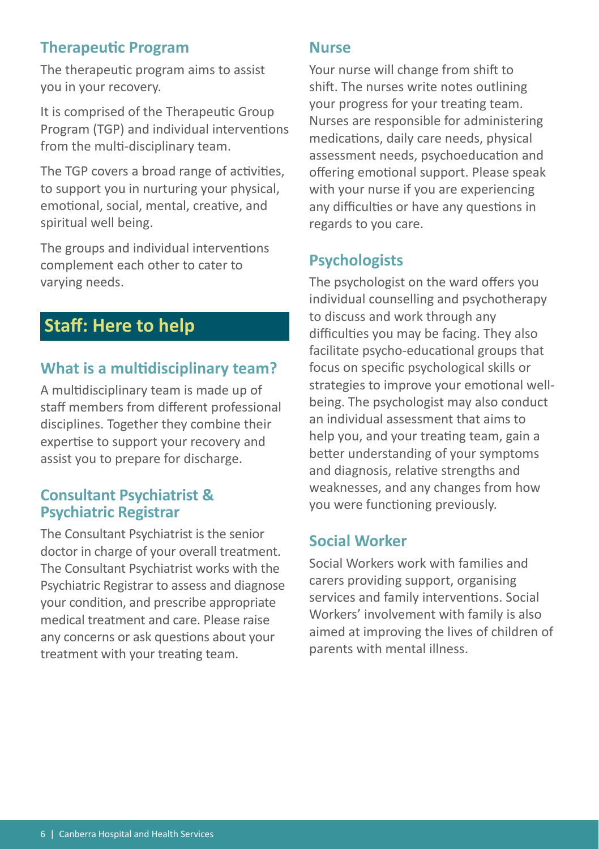#### **Therapeutic Program**

The therapeutic program aims to assist you in your recovery.

It is comprised of the Therapeutic Group Program (TGP) and individual interventions from the multi-disciplinary team.

The TGP covers a broad range of activities, to support you in nurturing your physical, emotional, social, mental, creative, and spiritual well being.

The groups and individual interventions complement each other to cater to varying needs.

# **Staff: Here to help**

## **What is a multidisciplinary team?**

A multidisciplinary team is made up of staff members from different professional disciplines. Together they combine their expertise to support your recovery and assist you to prepare for discharge.

#### **Consultant Psychiatrist & Psychiatric Registrar**

The Consultant Psychiatrist is the senior doctor in charge of your overall treatment. The Consultant Psychiatrist works with the Psychiatric Registrar to assess and diagnose your condition, and prescribe appropriate medical treatment and care. Please raise any concerns or ask questions about your treatment with your treating team.

#### **Nurse**

Your nurse will change from shift to shift. The nurses write notes outlining your progress for your treating team. Nurses are responsible for administering medications, daily care needs, physical assessment needs, psychoeducation and offering emotional support. Please speak with your nurse if you are experiencing any difficulties or have any questions in regards to you care.

## **Psychologists**

The psychologist on the ward offers you individual counselling and psychotherapy to discuss and work through any difficulties you may be facing. They also facilitate psycho-educational groups that focus on specific psychological skills or strategies to improve your emotional wellbeing. The psychologist may also conduct an individual assessment that aims to help you, and your treating team, gain a better understanding of your symptoms and diagnosis, relative strengths and weaknesses, and any changes from how you were functioning previously.

#### **Social Worker**

Social Workers work with families and carers providing support, organising services and family interventions. Social Workers' involvement with family is also aimed at improving the lives of children of parents with mental illness.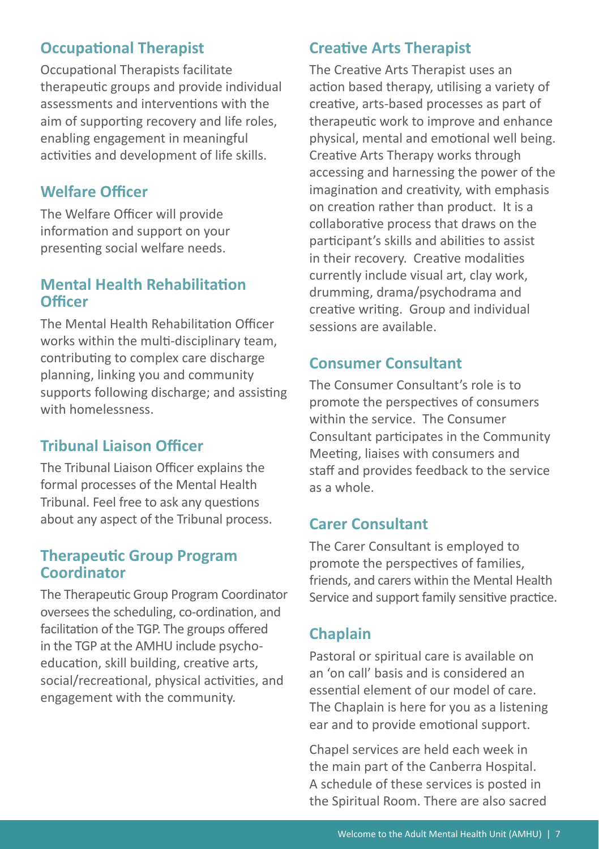## **Occupational Therapist**

Occupational Therapists facilitate therapeutic groups and provide individual assessments and interventions with the aim of supporting recovery and life roles, enabling engagement in meaningful activities and development of life skills.

#### **Welfare Officer**

The Welfare Officer will provide information and support on your presenting social welfare needs.

#### **Mental Health Rehabilitation Officer**

The Mental Health Rehabilitation Officer works within the multi-disciplinary team, contributing to complex care discharge planning, linking you and community supports following discharge; and assisting with homelessness.

## **Tribunal Liaison Officer**

The Tribunal Liaison Officer explains the formal processes of the Mental Health Tribunal. Feel free to ask any questions about any aspect of the Tribunal process.

#### **Therapeutic Group Program Coordinator**

The Therapeutic Group Program Coordinator oversees the scheduling, co-ordination, and facilitation of the TGP. The groups offered in the TGP at the AMHU include psychoeducation, skill building, creative arts, social/recreational, physical activities, and engagement with the community.

## **Creative Arts Therapist**

The Creative Arts Therapist uses an action based therapy, utilising a variety of creative, arts-based processes as part of therapeutic work to improve and enhance physical, mental and emotional well being. Creative Arts Therapy works through accessing and harnessing the power of the imagination and creativity, with emphasis on creation rather than product. It is a collaborative process that draws on the participant's skills and abilities to assist in their recovery. Creative modalities currently include visual art, clay work, drumming, drama/psychodrama and creative writing. Group and individual sessions are available.

#### **Consumer Consultant**

The Consumer Consultant's role is to promote the perspectives of consumers within the service. The Consumer Consultant participates in the Community Meeting, liaises with consumers and staff and provides feedback to the service as a whole.

#### **Carer Consultant**

The Carer Consultant is employed to promote the perspectives of families, friends, and carers within the Mental Health Service and support family sensitive practice.

## **Chaplain**

Pastoral or spiritual care is available on an 'on call' basis and is considered an essential element of our model of care. The Chaplain is here for you as a listening ear and to provide emotional support.

Chapel services are held each week in the main part of the Canberra Hospital. A schedule of these services is posted in the Spiritual Room. There are also sacred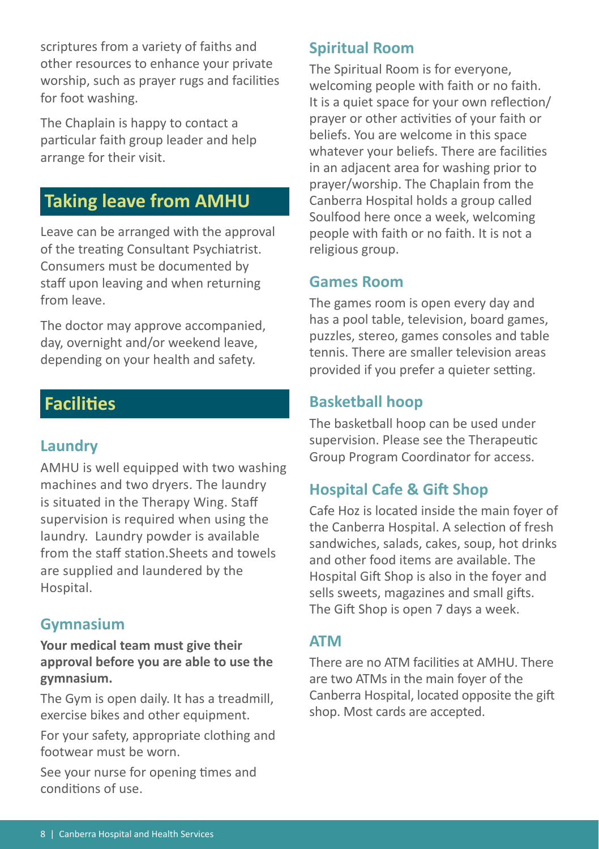scriptures from a variety of faiths and other resources to enhance your private worship, such as prayer rugs and facilities for foot washing.

The Chaplain is happy to contact a particular faith group leader and help arrange for their visit.

## **Taking leave from AMHU**

Leave can be arranged with the approval of the treating Consultant Psychiatrist. Consumers must be documented by staff upon leaving and when returning from leave.

The doctor may approve accompanied, day, overnight and/or weekend leave, depending on your health and safety.

## **Facilities**

#### **Laundry**

AMHU is well equipped with two washing machines and two dryers. The laundry is situated in the Therapy Wing. Staff supervision is required when using the laundry. Laundry powder is available from the staff station.Sheets and towels are supplied and laundered by the Hospital.

#### **Gymnasium**

**Your medical team must give their approval before you are able to use the gymnasium.** 

The Gym is open daily. It has a treadmill, exercise bikes and other equipment.

For your safety, appropriate clothing and footwear must be worn.

See your nurse for opening times and conditions of use.

#### **Spiritual Room**

The Spiritual Room is for everyone, welcoming people with faith or no faith. It is a quiet space for your own reflection/ prayer or other activities of your faith or beliefs. You are welcome in this space whatever your beliefs. There are facilities in an adjacent area for washing prior to prayer/worship. The Chaplain from the Canberra Hospital holds a group called Soulfood here once a week, welcoming people with faith or no faith. It is not a religious group.

#### **Games Room**

The games room is open every day and has a pool table, television, board games, puzzles, stereo, games consoles and table tennis. There are smaller television areas provided if you prefer a quieter setting.

#### **Basketball hoop**

The basketball hoop can be used under supervision. Please see the Therapeutic Group Program Coordinator for access.

## **Hospital Cafe & Gift Shop**

Cafe Hoz is located inside the main foyer of the Canberra Hospital. A selection of fresh sandwiches, salads, cakes, soup, hot drinks and other food items are available. The Hospital Gift Shop is also in the foyer and sells sweets, magazines and small gifts. The Gift Shop is open 7 days a week.

#### **ATM**

There are no ATM facilities at AMHU. There are two ATMs in the main foyer of the Canberra Hospital, located opposite the gift shop. Most cards are accepted.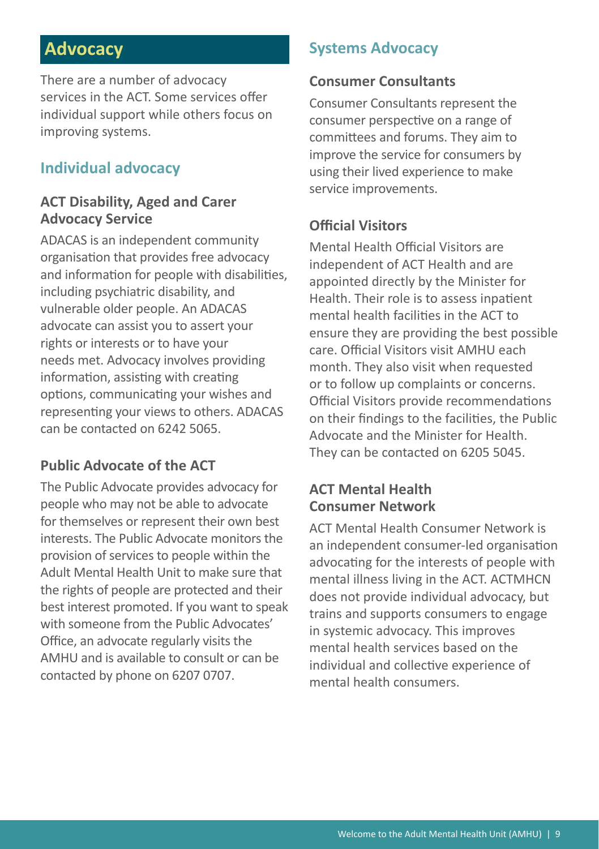## **Advocacy**

There are a number of advocacy services in the ACT. Some services offer individual support while others focus on improving systems.

#### **Individual advocacy**

#### **ACT Disability, Aged and Carer Advocacy Service**

ADACAS is an independent community organisation that provides free advocacy and information for people with disabilities, including psychiatric disability, and vulnerable older people. An ADACAS advocate can assist you to assert your rights or interests or to have your needs met. Advocacy involves providing information, assisting with creating options, communicating your wishes and representing your views to others. ADACAS can be contacted on 6242 5065.

#### **Public Advocate of the ACT**

The Public Advocate provides advocacy for people who may not be able to advocate for themselves or represent their own best interests. The Public Advocate monitors the provision of services to people within the Adult Mental Health Unit to make sure that the rights of people are protected and their best interest promoted. If you want to speak with someone from the Public Advocates' Office, an advocate regularly visits the AMHU and is available to consult or can be contacted by phone on 6207 0707.

#### **Systems Advocacy**

#### **Consumer Consultants**

Consumer Consultants represent the consumer perspective on a range of committees and forums. They aim to improve the service for consumers by using their lived experience to make service improvements.

#### **Official Visitors**

Mental Health Official Visitors are independent of ACT Health and are appointed directly by the Minister for Health. Their role is to assess inpatient mental health facilities in the ACT to ensure they are providing the best possible care. Official Visitors visit AMHU each month. They also visit when requested or to follow up complaints or concerns. Official Visitors provide recommendations on their findings to the facilities, the Public Advocate and the Minister for Health. They can be contacted on 6205 5045.

#### **ACT Mental Health Consumer Network**

ACT Mental Health Consumer Network is an independent consumer-led organisation advocating for the interests of people with mental illness living in the ACT. ACTMHCN does not provide individual advocacy, but trains and supports consumers to engage in systemic advocacy. This improves mental health services based on the individual and collective experience of mental health consumers.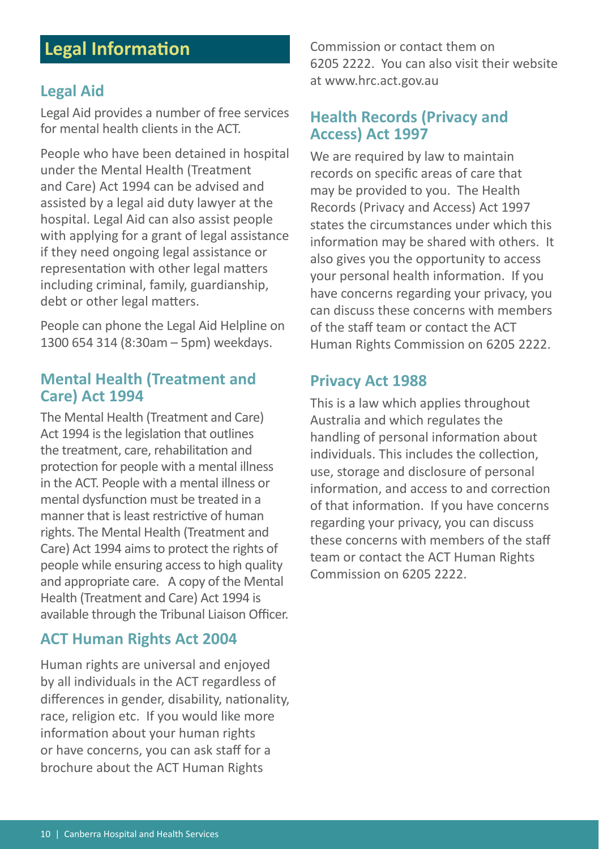## **Legal Information**

#### **Legal Aid**

Legal Aid provides a number of free services for mental health clients in the ACT.

People who have been detained in hospital under the Mental Health (Treatment and Care) Act 1994 can be advised and assisted by a legal aid duty lawyer at the hospital. Legal Aid can also assist people with applying for a grant of legal assistance if they need ongoing legal assistance or representation with other legal matters including criminal, family, guardianship, debt or other legal matters.

People can phone the Legal Aid Helpline on 1300 654 314 (8:30am – 5pm) weekdays.

#### **Mental Health (Treatment and Care) Act 1994**

The Mental Health (Treatment and Care) Act 1994 is the legislation that outlines the treatment, care, rehabilitation and protection for people with a mental illness in the ACT. People with a mental illness or mental dysfunction must be treated in a manner that is least restrictive of human rights. The Mental Health (Treatment and Care) Act 1994 aims to protect the rights of people while ensuring access to high quality and appropriate care. A copy of the Mental Health (Treatment and Care) Act 1994 is available through the Tribunal Liaison Officer.

#### **ACT Human Rights Act 2004**

Human rights are universal and enjoyed by all individuals in the ACT regardless of differences in gender, disability, nationality, race, religion etc. If you would like more information about your human rights or have concerns, you can ask staff for a brochure about the ACT Human Rights

Commission or contact them on 6205 2222. You can also visit their website at www.hrc.act.gov.au

#### **Health Records (Privacy and Access) Act 1997**

We are required by law to maintain records on specific areas of care that may be provided to you. The Health Records (Privacy and Access) Act 1997 states the circumstances under which this information may be shared with others. It also gives you the opportunity to access your personal health information. If you have concerns regarding your privacy, you can discuss these concerns with members of the staff team or contact the ACT Human Rights Commission on 6205 2222.

#### **Privacy Act 1988**

This is a law which applies throughout Australia and which regulates the handling of personal information about individuals. This includes the collection, use, storage and disclosure of personal information, and access to and correction of that information. If you have concerns regarding your privacy, you can discuss these concerns with members of the staff team or contact the ACT Human Rights Commission on 6205 2222.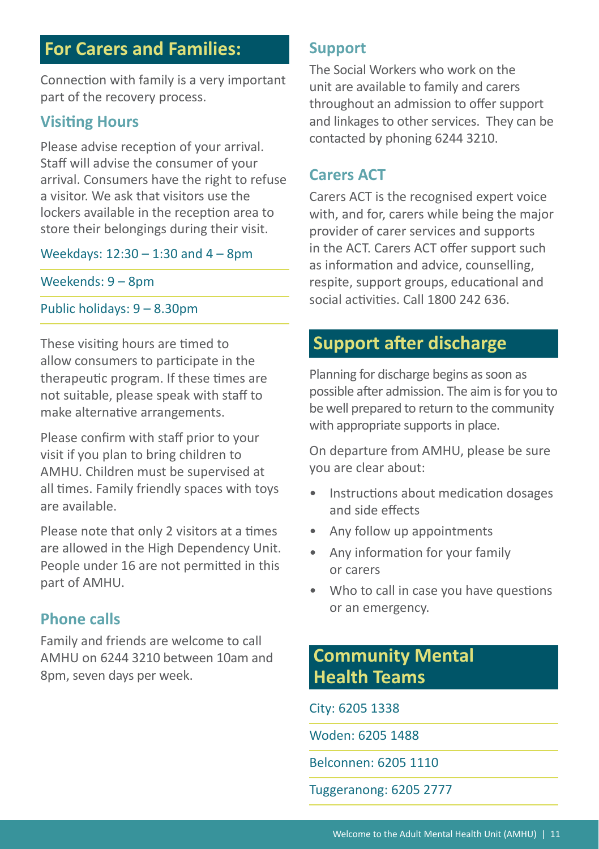## **For Carers and Families:**

Connection with family is a very important part of the recovery process.

#### **Visiting Hours**

Please advise reception of your arrival. Staff will advise the consumer of your arrival. Consumers have the right to refuse a visitor. We ask that visitors use the lockers available in the reception area to store their belongings during their visit.

#### Weekdays: 12:30 – 1:30 and 4 – 8pm

Weekends: 9 – 8pm

#### Public holidays: 9 – 8.30pm

These visiting hours are timed to allow consumers to participate in the therapeutic program. If these times are not suitable, please speak with staff to make alternative arrangements.

Please confirm with staff prior to your visit if you plan to bring children to AMHU. Children must be supervised at all times. Family friendly spaces with toys are available.

Please note that only 2 visitors at a times are allowed in the High Dependency Unit. People under 16 are not permitted in this part of AMHU.

#### **Phone calls**

Family and friends are welcome to call AMHU on 6244 3210 between 10am and 8pm, seven days per week.

#### **Support**

The Social Workers who work on the unit are available to family and carers throughout an admission to offer support and linkages to other services. They can be contacted by phoning 6244 3210.

#### **Carers ACT**

Carers ACT is the recognised expert voice with, and for, carers while being the major provider of carer services and supports in the ACT. Carers ACT offer support such as information and advice, counselling, respite, support groups, educational and social activities. Call 1800 242 636.

## **Support after discharge**

Planning for discharge begins as soon as possible after admission. The aim is for you to be well prepared to return to the community with appropriate supports in place.

On departure from AMHU, please be sure you are clear about:

- Instructions about medication dosages and side effects
- Any follow up appointments
- Any information for your family or carers
- Who to call in case you have questions or an emergency.

## **Community Mental Health Teams**

#### City: 6205 1338

Woden: 6205 1488

Belconnen: 6205 1110

Tuggeranong: 6205 2777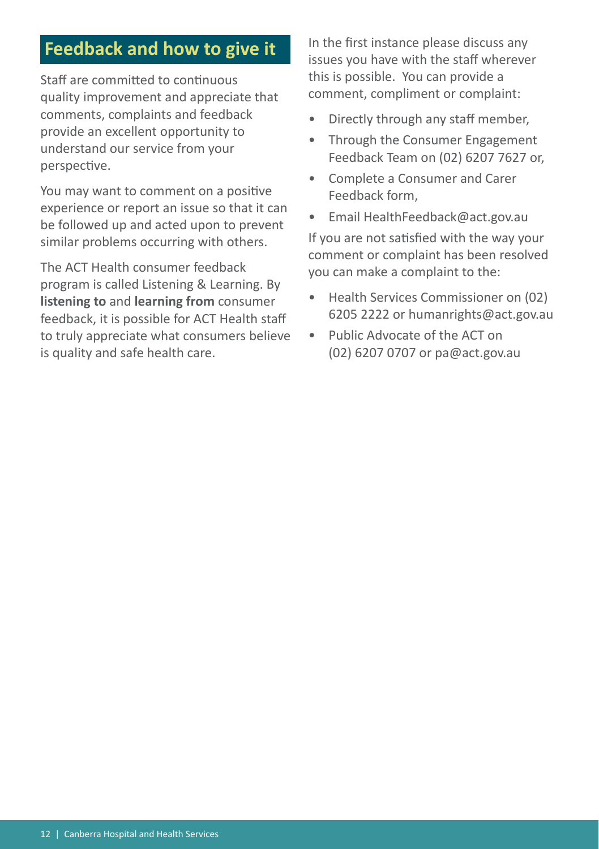## **Feedback and how to give it**

Staff are committed to continuous quality improvement and appreciate that comments, complaints and feedback provide an excellent opportunity to understand our service from your perspective.

You may want to comment on a positive experience or report an issue so that it can be followed up and acted upon to prevent similar problems occurring with others.

The ACT Health consumer feedback program is called Listening & Learning. By **listening to** and **learning from** consumer feedback, it is possible for ACT Health staff to truly appreciate what consumers believe is quality and safe health care.

In the first instance please discuss any issues you have with the staff wherever this is possible. You can provide a comment, compliment or complaint:

- Directly through any staff member,
- Through the Consumer Engagement Feedback Team on (02) 6207 7627 or,
- Complete a Consumer and Carer Feedback form,
- Email HealthFeedback@act.gov.au

If you are not satisfied with the way your comment or complaint has been resolved you can make a complaint to the:

- Health Services Commissioner on (02) 6205 2222 or humanrights@act.gov.au
- Public Advocate of the ACT on (02) 6207 0707 or pa@act.gov.au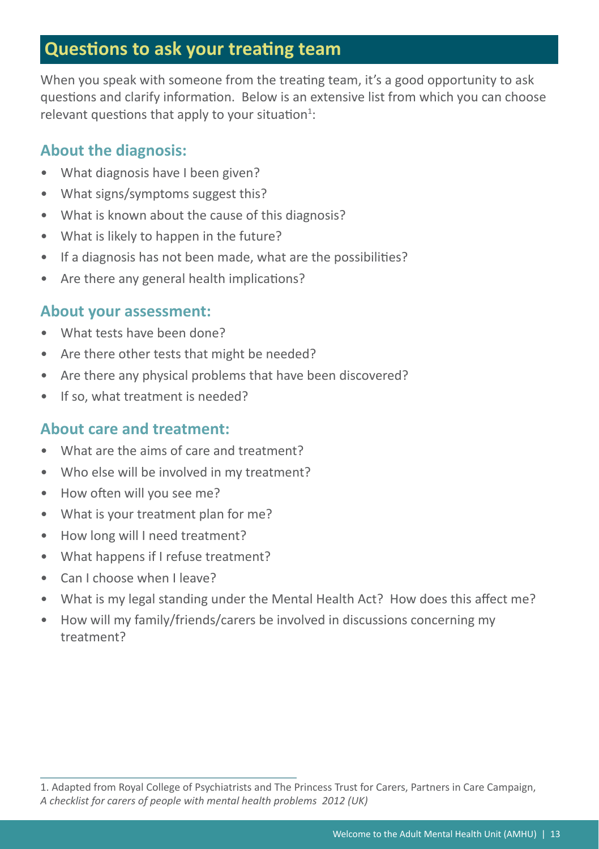## **Questions to ask your treating team**

When you speak with someone from the treating team, it's a good opportunity to ask questions and clarify information. Below is an extensive list from which you can choose relevant questions that apply to your situation $^1$ :

## **About the diagnosis:**

- What diagnosis have I been given?
- What signs/symptoms suggest this?
- What is known about the cause of this diagnosis?
- What is likely to happen in the future?
- If a diagnosis has not been made, what are the possibilities?
- Are there any general health implications?

#### **About your assessment:**

- What tests have been done?
- Are there other tests that might be needed?
- Are there any physical problems that have been discovered?
- If so, what treatment is needed?

## **About care and treatment:**

- What are the aims of care and treatment?
- Who else will be involved in my treatment?
- How often will you see me?
- What is your treatment plan for me?
- How long will I need treatment?
- What happens if I refuse treatment?
- Can I choose when I leave?
- What is my legal standing under the Mental Health Act? How does this affect me?
- How will my family/friends/carers be involved in discussions concerning my treatment?

<sup>1.</sup> Adapted from Royal College of Psychiatrists and The Princess Trust for Carers, Partners in Care Campaign, *A checklist for carers of people with mental health problems 2012 (UK)*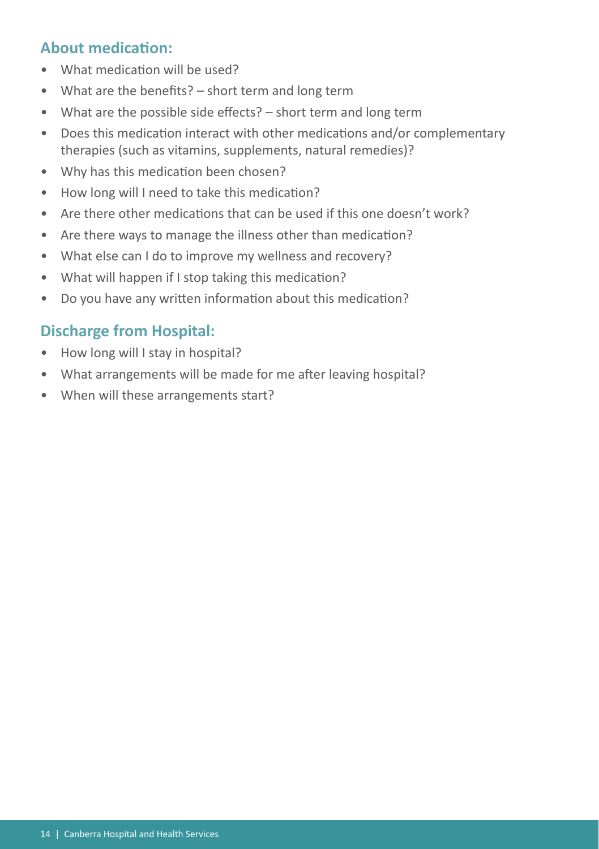## **About medication:**

- What medication will be used?
- What are the benefits? short term and long term
- What are the possible side effects? short term and long term
- Does this medication interact with other medications and/or complementary therapies (such as vitamins, supplements, natural remedies)?
- Why has this medication been chosen?
- How long will I need to take this medication?
- Are there other medications that can be used if this one doesn't work?
- Are there ways to manage the illness other than medication?
- What else can I do to improve my wellness and recovery?
- What will happen if I stop taking this medication?
- Do you have any written information about this medication?

## **Discharge from Hospital:**

- How long will I stay in hospital?
- What arrangements will be made for me after leaving hospital?
- When will these arrangements start?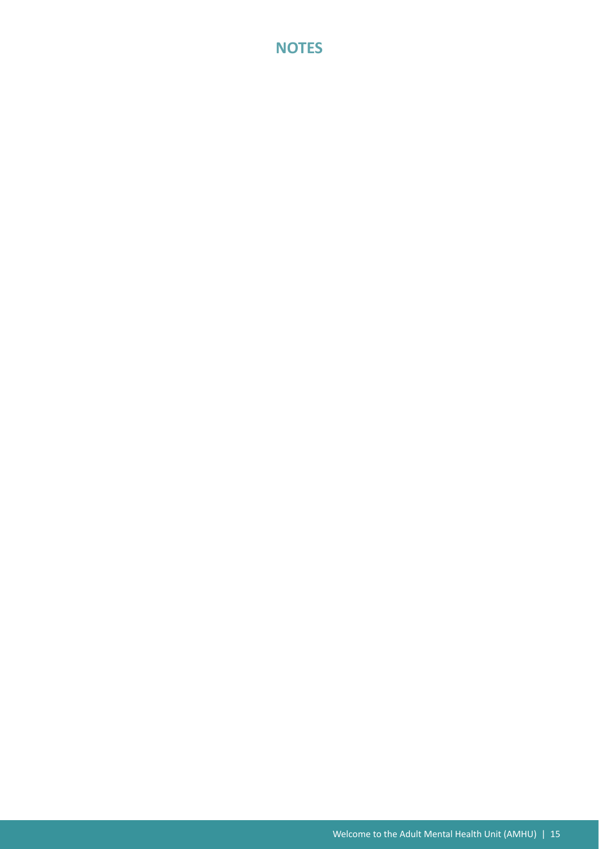#### **NOTES**